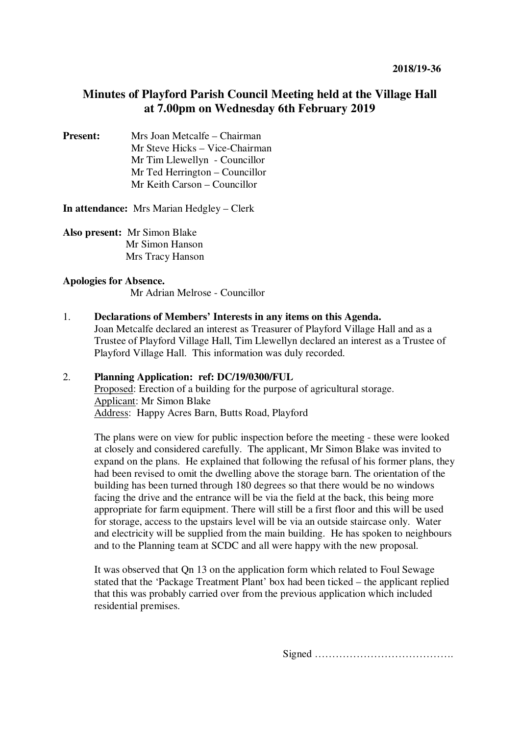# **Minutes of Playford Parish Council Meeting held at the Village Hall at 7.00pm on Wednesday 6th February 2019**

**Present:** Mrs Joan Metcalfe – Chairman Mr Steve Hicks – Vice-Chairman Mr Tim Llewellyn - Councillor Mr Ted Herrington – Councillor Mr Keith Carson – Councillor

**In attendance:** Mrs Marian Hedgley – Clerk

**Also present:** Mr Simon Blake Mr Simon Hanson Mrs Tracy Hanson

### **Apologies for Absence.**

Mr Adrian Melrose - Councillor

#### 1. **Declarations of Members' Interests in any items on this Agenda.**

Joan Metcalfe declared an interest as Treasurer of Playford Village Hall and as a Trustee of Playford Village Hall, Tim Llewellyn declared an interest as a Trustee of Playford Village Hall. This information was duly recorded.

## 2. **Planning Application: ref: DC/19/0300/FUL** Proposed: Erection of a building for the purpose of agricultural storage. Applicant: Mr Simon Blake Address: Happy Acres Barn, Butts Road, Playford

The plans were on view for public inspection before the meeting - these were looked at closely and considered carefully. The applicant, Mr Simon Blake was invited to expand on the plans. He explained that following the refusal of his former plans, they had been revised to omit the dwelling above the storage barn. The orientation of the building has been turned through 180 degrees so that there would be no windows facing the drive and the entrance will be via the field at the back, this being more appropriate for farm equipment. There will still be a first floor and this will be used for storage, access to the upstairs level will be via an outside staircase only. Water and electricity will be supplied from the main building. He has spoken to neighbours and to the Planning team at SCDC and all were happy with the new proposal.

It was observed that Qn 13 on the application form which related to Foul Sewage stated that the 'Package Treatment Plant' box had been ticked – the applicant replied that this was probably carried over from the previous application which included residential premises.

Signed ………………………………….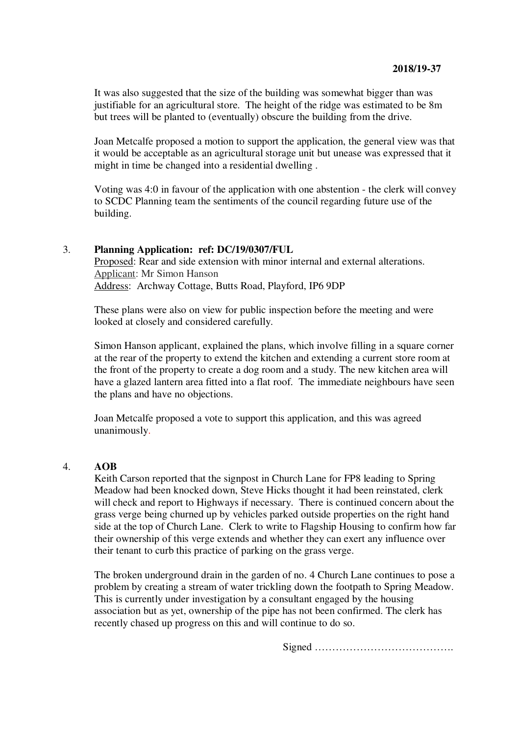It was also suggested that the size of the building was somewhat bigger than was justifiable for an agricultural store. The height of the ridge was estimated to be 8m but trees will be planted to (eventually) obscure the building from the drive.

Joan Metcalfe proposed a motion to support the application, the general view was that it would be acceptable as an agricultural storage unit but unease was expressed that it might in time be changed into a residential dwelling .

Voting was 4:0 in favour of the application with one abstention - the clerk will convey to SCDC Planning team the sentiments of the council regarding future use of the building.

#### 3. **Planning Application: ref: DC/19/0307/FUL**

 Proposed: Rear and side extension with minor internal and external alterations. Applicant: Mr Simon Hanson Address: Archway Cottage, Butts Road, Playford, IP6 9DP

These plans were also on view for public inspection before the meeting and were looked at closely and considered carefully.

Simon Hanson applicant, explained the plans, which involve filling in a square corner at the rear of the property to extend the kitchen and extending a current store room at the front of the property to create a dog room and a study. The new kitchen area will have a glazed lantern area fitted into a flat roof. The immediate neighbours have seen the plans and have no objections.

Joan Metcalfe proposed a vote to support this application, and this was agreed unanimously.

#### 4. **AOB**

Keith Carson reported that the signpost in Church Lane for FP8 leading to Spring Meadow had been knocked down, Steve Hicks thought it had been reinstated, clerk will check and report to Highways if necessary. There is continued concern about the grass verge being churned up by vehicles parked outside properties on the right hand side at the top of Church Lane. Clerk to write to Flagship Housing to confirm how far their ownership of this verge extends and whether they can exert any influence over their tenant to curb this practice of parking on the grass verge.

The broken underground drain in the garden of no. 4 Church Lane continues to pose a problem by creating a stream of water trickling down the footpath to Spring Meadow. This is currently under investigation by a consultant engaged by the housing association but as yet, ownership of the pipe has not been confirmed. The clerk has recently chased up progress on this and will continue to do so.

Signed ………………………………….